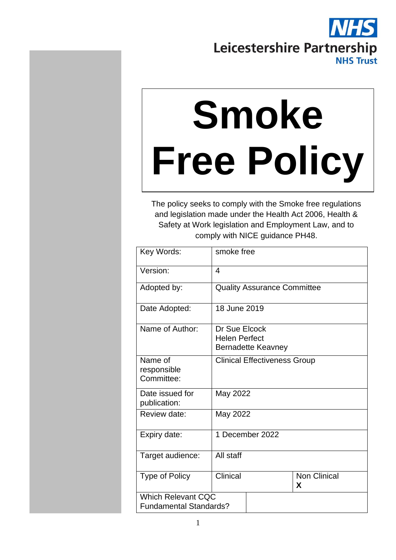# Leicestershire Partnership **NHS Trust**

# **Smoke Free Policy**

The policy seeks to comply with the Smoke free regulations and legislation made under the Health Act 2006, Health & Safety at Work legislation and Employment Law, and to comply with NICE guidance PH48.

| Key Words:                                                 | smoke free                            |                                    |                          |
|------------------------------------------------------------|---------------------------------------|------------------------------------|--------------------------|
| Version:                                                   | $\overline{4}$                        |                                    |                          |
| Adopted by:                                                |                                       | <b>Quality Assurance Committee</b> |                          |
| Date Adopted:                                              | 18 June 2019                          |                                    |                          |
| Name of Author:                                            | Dr Sue Elcock<br><b>Helen Perfect</b> | <b>Bernadette Keavney</b>          |                          |
| Name of<br>responsible<br>Committee:                       | <b>Clinical Effectiveness Group</b>   |                                    |                          |
| Date issued for<br>publication:                            | May 2022                              |                                    |                          |
| Review date:                                               | May 2022                              |                                    |                          |
| Expiry date:                                               |                                       | 1 December 2022                    |                          |
| Target audience:                                           | All staff                             |                                    |                          |
| <b>Type of Policy</b>                                      | Clinical                              |                                    | <b>Non Clinical</b><br>X |
| <b>Which Relevant CQC</b><br><b>Fundamental Standards?</b> |                                       |                                    |                          |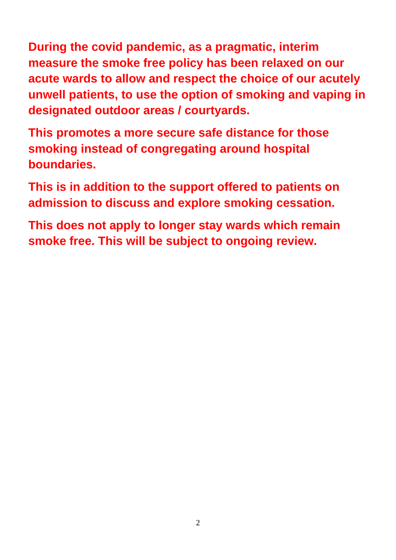**During the covid pandemic, as a pragmatic, interim measure the smoke free policy has been relaxed on our acute wards to allow and respect the choice of our acutely unwell patients, to use the option of smoking and vaping in designated outdoor areas / courtyards.**

**This promotes a more secure safe distance for those smoking instead of congregating around hospital boundaries.** 

**This is in addition to the support offered to patients on admission to discuss and explore smoking cessation.**

**This does not apply to longer stay wards which remain smoke free. This will be subject to ongoing review.**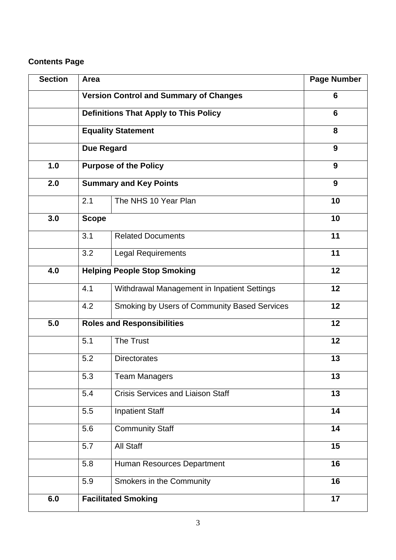#### **Contents Page**

| <b>Section</b> | Area                                          | <b>Page Number</b>                           |    |
|----------------|-----------------------------------------------|----------------------------------------------|----|
|                | <b>Version Control and Summary of Changes</b> | 6                                            |    |
|                | <b>Definitions That Apply to This Policy</b>  | 6                                            |    |
|                |                                               | <b>Equality Statement</b>                    | 8  |
|                | <b>Due Regard</b>                             |                                              | 9  |
| 1.0            |                                               | <b>Purpose of the Policy</b>                 | 9  |
| 2.0            |                                               | <b>Summary and Key Points</b>                | 9  |
|                | 2.1                                           | The NHS 10 Year Plan                         | 10 |
| 3.0            | <b>Scope</b>                                  |                                              | 10 |
|                | 3.1                                           | <b>Related Documents</b>                     | 11 |
|                | 3.2                                           | Legal Requirements                           | 11 |
| 4.0            | <b>Helping People Stop Smoking</b>            |                                              | 12 |
|                | 4.1                                           | Withdrawal Management in Inpatient Settings  | 12 |
|                | 4.2                                           | Smoking by Users of Community Based Services | 12 |
| 5.0            | <b>Roles and Responsibilities</b>             |                                              | 12 |
|                | 5.1                                           | The Trust                                    | 12 |
|                | 5.2                                           | <b>Directorates</b>                          | 13 |
|                | 5.3                                           | <b>Team Managers</b>                         | 13 |
|                | 5.4                                           | <b>Crisis Services and Liaison Staff</b>     | 13 |
|                | 5.5                                           | <b>Inpatient Staff</b>                       | 14 |
|                | 5.6                                           | <b>Community Staff</b>                       | 14 |
|                | 5.7                                           | All Staff                                    | 15 |
|                | 5.8                                           | Human Resources Department                   | 16 |
|                | 5.9                                           | Smokers in the Community                     | 16 |
| 6.0            | <b>Facilitated Smoking</b>                    |                                              | 17 |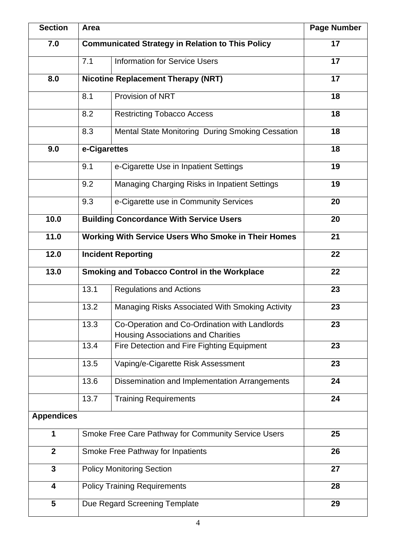| <b>Section</b>          | Area                                                             | <b>Page Number</b>                                                                         |    |  |
|-------------------------|------------------------------------------------------------------|--------------------------------------------------------------------------------------------|----|--|
| 7.0                     | <b>Communicated Strategy in Relation to This Policy</b>          |                                                                                            | 17 |  |
|                         | 7.1                                                              | <b>Information for Service Users</b>                                                       | 17 |  |
| 8.0                     |                                                                  | <b>Nicotine Replacement Therapy (NRT)</b>                                                  | 17 |  |
|                         | 8.1                                                              | Provision of NRT                                                                           | 18 |  |
|                         | 8.2                                                              | <b>Restricting Tobacco Access</b>                                                          | 18 |  |
|                         | 8.3                                                              | Mental State Monitoring During Smoking Cessation                                           | 18 |  |
| 9.0                     | e-Cigarettes                                                     |                                                                                            | 18 |  |
|                         | 9.1                                                              | e-Cigarette Use in Inpatient Settings                                                      | 19 |  |
|                         | 9.2                                                              | Managing Charging Risks in Inpatient Settings                                              | 19 |  |
|                         | 9.3                                                              | e-Cigarette use in Community Services                                                      | 20 |  |
| 10.0                    |                                                                  | <b>Building Concordance With Service Users</b>                                             | 20 |  |
| 11.0                    | <b>Working With Service Users Who Smoke in Their Homes</b><br>21 |                                                                                            |    |  |
| 12.0                    | 22<br><b>Incident Reporting</b>                                  |                                                                                            |    |  |
| 13.0                    | <b>Smoking and Tobacco Control in the Workplace</b>              |                                                                                            | 22 |  |
|                         | 13.1                                                             | <b>Regulations and Actions</b>                                                             | 23 |  |
|                         | 13.2                                                             | Managing Risks Associated With Smoking Activity                                            | 23 |  |
|                         | 13.3                                                             | Co-Operation and Co-Ordination with Landlords<br><b>Housing Associations and Charities</b> | 23 |  |
|                         | 13.4                                                             | Fire Detection and Fire Fighting Equipment                                                 | 23 |  |
|                         | 13.5                                                             | Vaping/e-Cigarette Risk Assessment                                                         | 23 |  |
|                         | 13.6                                                             | Dissemination and Implementation Arrangements                                              | 24 |  |
|                         | 13.7                                                             | <b>Training Requirements</b>                                                               | 24 |  |
| <b>Appendices</b>       |                                                                  |                                                                                            |    |  |
| 1                       | Smoke Free Care Pathway for Community Service Users              |                                                                                            | 25 |  |
| $\overline{2}$          | Smoke Free Pathway for Inpatients<br>26                          |                                                                                            |    |  |
| $\mathbf{3}$            | <b>Policy Monitoring Section</b><br>27                           |                                                                                            |    |  |
| $\overline{\mathbf{4}}$ | <b>Policy Training Requirements</b><br>28                        |                                                                                            |    |  |
| $\overline{\mathbf{5}}$ | Due Regard Screening Template<br>29                              |                                                                                            |    |  |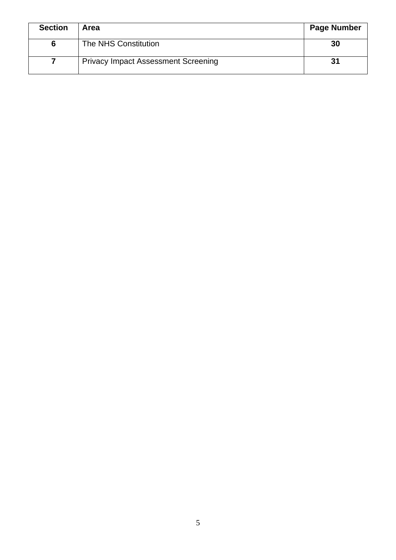| <b>Section</b> | Area                                       | <b>Page Number</b> |
|----------------|--------------------------------------------|--------------------|
|                | The NHS Constitution                       | 30                 |
|                | <b>Privacy Impact Assessment Screening</b> | 31                 |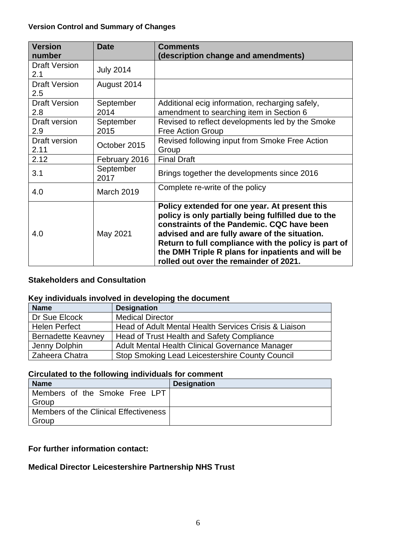#### **Version Control and Summary of Changes**

| <b>Version</b><br>number    | <b>Date</b>       | <b>Comments</b><br>(description change and amendments)                                                                                                                                                                                                                                                                                                     |
|-----------------------------|-------------------|------------------------------------------------------------------------------------------------------------------------------------------------------------------------------------------------------------------------------------------------------------------------------------------------------------------------------------------------------------|
| Draft Version<br>2.1        | <b>July 2014</b>  |                                                                                                                                                                                                                                                                                                                                                            |
| <b>Draft Version</b><br>2.5 | August 2014       |                                                                                                                                                                                                                                                                                                                                                            |
| <b>Draft Version</b><br>2.8 | September<br>2014 | Additional ecig information, recharging safely,<br>amendment to searching item in Section 6                                                                                                                                                                                                                                                                |
| Draft version<br>2.9        | September<br>2015 | Revised to reflect developments led by the Smoke<br><b>Free Action Group</b>                                                                                                                                                                                                                                                                               |
| Draft version<br>2.11       | October 2015      | Revised following input from Smoke Free Action<br>Group                                                                                                                                                                                                                                                                                                    |
| 2.12                        | February 2016     | <b>Final Draft</b>                                                                                                                                                                                                                                                                                                                                         |
| 3.1                         | September<br>2017 | Brings together the developments since 2016                                                                                                                                                                                                                                                                                                                |
| 4.0                         | March 2019        | Complete re-write of the policy                                                                                                                                                                                                                                                                                                                            |
| 4.0                         | May 2021          | Policy extended for one year. At present this<br>policy is only partially being fulfilled due to the<br>constraints of the Pandemic, CQC have been<br>advised and are fully aware of the situation.<br>Return to full compliance with the policy is part of<br>the DMH Triple R plans for inpatients and will be<br>rolled out over the remainder of 2021. |

#### **Stakeholders and Consultation**

#### **Key individuals involved in developing the document**

| <b>Name</b>               | <b>Designation</b>                                    |
|---------------------------|-------------------------------------------------------|
| Dr Sue Elcock             | <b>Medical Director</b>                               |
| <b>Helen Perfect</b>      | Head of Adult Mental Health Services Crisis & Liaison |
| <b>Bernadette Keavney</b> | Head of Trust Health and Safety Compliance            |
| Jenny Dolphin             | Adult Mental Health Clinical Governance Manager       |
| Zaheera Chatra            | Stop Smoking Lead Leicestershire County Council       |

#### **Circulated to the following individuals for comment**

| <b>Name</b>                           | <b>Designation</b> |
|---------------------------------------|--------------------|
| Members of the Smoke Free LPT         |                    |
| Group                                 |                    |
| Members of the Clinical Effectiveness |                    |
| Group                                 |                    |

#### **For further information contact:**

#### **Medical Director Leicestershire Partnership NHS Trust**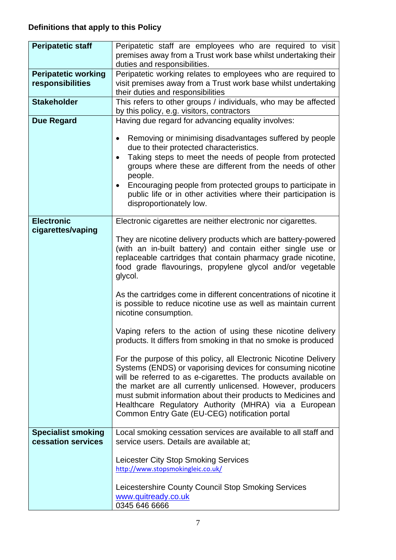## **Definitions that apply to this Policy**

| <b>Peripatetic staff</b>                        | Peripatetic staff are employees who are required to visit<br>premises away from a Trust work base whilst undertaking their                                                                                                                                                                                                                                                                                                                   |
|-------------------------------------------------|----------------------------------------------------------------------------------------------------------------------------------------------------------------------------------------------------------------------------------------------------------------------------------------------------------------------------------------------------------------------------------------------------------------------------------------------|
|                                                 | duties and responsibilities.                                                                                                                                                                                                                                                                                                                                                                                                                 |
| <b>Peripatetic working</b>                      | Peripatetic working relates to employees who are required to                                                                                                                                                                                                                                                                                                                                                                                 |
| responsibilities                                | visit premises away from a Trust work base whilst undertaking<br>their duties and responsibilities                                                                                                                                                                                                                                                                                                                                           |
| <b>Stakeholder</b>                              | This refers to other groups / individuals, who may be affected<br>by this policy, e.g. visitors, contractors                                                                                                                                                                                                                                                                                                                                 |
| <b>Due Regard</b>                               | Having due regard for advancing equality involves:                                                                                                                                                                                                                                                                                                                                                                                           |
|                                                 | Removing or minimising disadvantages suffered by people<br>$\bullet$<br>due to their protected characteristics.                                                                                                                                                                                                                                                                                                                              |
|                                                 | Taking steps to meet the needs of people from protected<br>$\bullet$<br>groups where these are different from the needs of other<br>people.                                                                                                                                                                                                                                                                                                  |
|                                                 | Encouraging people from protected groups to participate in<br>public life or in other activities where their participation is<br>disproportionately low.                                                                                                                                                                                                                                                                                     |
| <b>Electronic</b>                               | Electronic cigarettes are neither electronic nor cigarettes.                                                                                                                                                                                                                                                                                                                                                                                 |
| cigarettes/vaping                               |                                                                                                                                                                                                                                                                                                                                                                                                                                              |
|                                                 | They are nicotine delivery products which are battery-powered<br>(with an in-built battery) and contain either single use or<br>replaceable cartridges that contain pharmacy grade nicotine,<br>food grade flavourings, propylene glycol and/or vegetable<br>glycol.                                                                                                                                                                         |
|                                                 | As the cartridges come in different concentrations of nicotine it<br>is possible to reduce nicotine use as well as maintain current<br>nicotine consumption.                                                                                                                                                                                                                                                                                 |
|                                                 | Vaping refers to the action of using these nicotine delivery<br>products. It differs from smoking in that no smoke is produced                                                                                                                                                                                                                                                                                                               |
|                                                 | For the purpose of this policy, all Electronic Nicotine Delivery<br>Systems (ENDS) or vaporising devices for consuming nicotine<br>will be referred to as e-cigarettes. The products available on<br>the market are all currently unlicensed. However, producers<br>must submit information about their products to Medicines and<br>Healthcare Regulatory Authority (MHRA) via a European<br>Common Entry Gate (EU-CEG) notification portal |
| <b>Specialist smoking</b><br>cessation services | Local smoking cessation services are available to all staff and<br>service users. Details are available at;                                                                                                                                                                                                                                                                                                                                  |
|                                                 | Leicester City Stop Smoking Services<br>http://www.stopsmokingleic.co.uk/                                                                                                                                                                                                                                                                                                                                                                    |
|                                                 | Leicestershire County Council Stop Smoking Services<br>www.quitready.co.uk<br>0345 646 6666                                                                                                                                                                                                                                                                                                                                                  |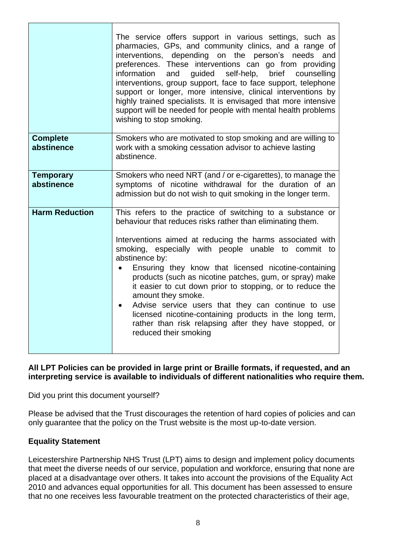|                                | The service offers support in various settings, such as<br>pharmacies, GPs, and community clinics, and a range of<br>interventions, depending on the person's needs and<br>preferences. These interventions can go from providing<br>guided self-help, brief counselling<br>information<br>and<br>interventions, group support, face to face support, telephone<br>support or longer, more intensive, clinical interventions by<br>highly trained specialists. It is envisaged that more intensive<br>support will be needed for people with mental health problems<br>wishing to stop smoking.                                                                                       |
|--------------------------------|---------------------------------------------------------------------------------------------------------------------------------------------------------------------------------------------------------------------------------------------------------------------------------------------------------------------------------------------------------------------------------------------------------------------------------------------------------------------------------------------------------------------------------------------------------------------------------------------------------------------------------------------------------------------------------------|
| <b>Complete</b><br>abstinence  | Smokers who are motivated to stop smoking and are willing to<br>work with a smoking cessation advisor to achieve lasting<br>abstinence.                                                                                                                                                                                                                                                                                                                                                                                                                                                                                                                                               |
| <b>Temporary</b><br>abstinence | Smokers who need NRT (and / or e-cigarettes), to manage the<br>symptoms of nicotine withdrawal for the duration of an<br>admission but do not wish to quit smoking in the longer term.                                                                                                                                                                                                                                                                                                                                                                                                                                                                                                |
| <b>Harm Reduction</b>          | This refers to the practice of switching to a substance or<br>behaviour that reduces risks rather than eliminating them.<br>Interventions aimed at reducing the harms associated with<br>smoking, especially with people unable to commit to<br>abstinence by:<br>Ensuring they know that licensed nicotine-containing<br>products (such as nicotine patches, gum, or spray) make<br>it easier to cut down prior to stopping, or to reduce the<br>amount they smoke.<br>Advise service users that they can continue to use<br>$\bullet$<br>licensed nicotine-containing products in the long term,<br>rather than risk relapsing after they have stopped, or<br>reduced their smoking |

#### **All LPT Policies can be provided in large print or Braille formats, if requested, and an interpreting service is available to individuals of different nationalities who require them.**

Did you print this document yourself?

Please be advised that the Trust discourages the retention of hard copies of policies and can only guarantee that the policy on the Trust website is the most up-to-date version.

#### **Equality Statement**

Leicestershire Partnership NHS Trust (LPT) aims to design and implement policy documents that meet the diverse needs of our service, population and workforce, ensuring that none are placed at a disadvantage over others. It takes into account the provisions of the Equality Act 2010 and advances equal opportunities for all. This document has been assessed to ensure that no one receives less favourable treatment on the protected characteristics of their age,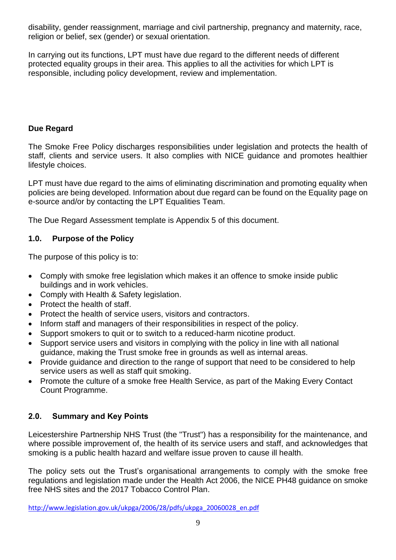disability, gender reassignment, marriage and civil partnership, pregnancy and maternity, race, religion or belief, sex (gender) or sexual orientation.

In carrying out its functions, LPT must have due regard to the different needs of different protected equality groups in their area. This applies to all the activities for which LPT is responsible, including policy development, review and implementation.

#### **Due Regard**

The Smoke Free Policy discharges responsibilities under legislation and protects the health of staff, clients and service users. It also complies with NICE guidance and promotes healthier lifestyle choices.

LPT must have due regard to the aims of eliminating discrimination and promoting equality when policies are being developed. Information about due regard can be found on the Equality page on e-source and/or by contacting the LPT Equalities Team.

The Due Regard Assessment template is Appendix 5 of this document.

#### **1.0. Purpose of the Policy**

The purpose of this policy is to:

- Comply with smoke free legislation which makes it an offence to smoke inside public buildings and in work vehicles.
- Comply with Health & Safety legislation.
- Protect the health of staff.
- Protect the health of service users, visitors and contractors.
- Inform staff and managers of their responsibilities in respect of the policy.
- Support smokers to quit or to switch to a reduced-harm nicotine product.
- Support service users and visitors in complying with the policy in line with all national guidance, making the Trust smoke free in grounds as well as internal areas.
- Provide guidance and direction to the range of support that need to be considered to help service users as well as staff quit smoking.
- Promote the culture of a smoke free Health Service, as part of the Making Every Contact Count Programme.

#### **2.0. Summary and Key Points**

Leicestershire Partnership NHS Trust (the "Trust") has a responsibility for the maintenance, and where possible improvement of, the health of its service users and staff, and acknowledges that smoking is a public health hazard and welfare issue proven to cause ill health.

The policy sets out the Trust's organisational arrangements to comply with the smoke free regulations and legislation made under the Health Act 2006, the NICE PH48 guidance on smoke free NHS sites and the 2017 Tobacco Control Plan.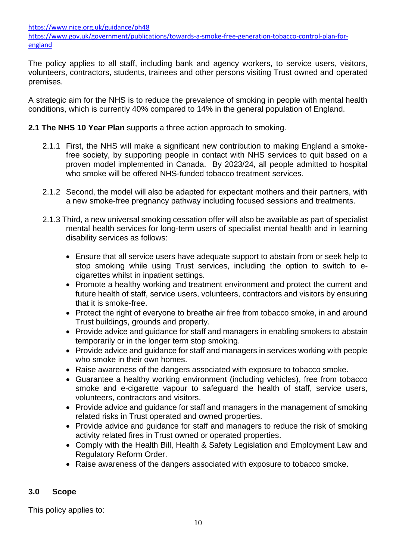<https://www.nice.org.uk/guidance/ph48>

[https://www.gov.uk/government/publications/towards-a-smoke-free-generation-tobacco-control-plan-for](https://www.gov.uk/government/publications/towards-a-smoke-free-generation-tobacco-control-plan-for-england)[england](https://www.gov.uk/government/publications/towards-a-smoke-free-generation-tobacco-control-plan-for-england)

The policy applies to all staff, including bank and agency workers, to service users, visitors, volunteers, contractors, students, trainees and other persons visiting Trust owned and operated premises.

A strategic aim for the NHS is to reduce the prevalence of smoking in people with mental health conditions, which is currently 40% compared to 14% in the general population of England.

#### **2.1 The NHS 10 Year Plan** supports a three action approach to smoking.

- 2.1.1 First, the NHS will make a significant new contribution to making England a smokefree society, by supporting people in contact with NHS services to quit based on a proven model implemented in Canada. By 2023/24, all people admitted to hospital who smoke will be offered NHS-funded tobacco treatment services.
- 2.1.2 Second, the model will also be adapted for expectant mothers and their partners, with a new smoke-free pregnancy pathway including focused sessions and treatments.
- 2.1.3 Third, a new universal smoking cessation offer will also be available as part of specialist mental health services for long-term users of specialist mental health and in learning disability services as follows:
	- Ensure that all service users have adequate support to abstain from or seek help to stop smoking while using Trust services, including the option to switch to ecigarettes whilst in inpatient settings.
	- Promote a healthy working and treatment environment and protect the current and future health of staff, service users, volunteers, contractors and visitors by ensuring that it is smoke-free.
	- Protect the right of everyone to breathe air free from tobacco smoke, in and around Trust buildings, grounds and property.
	- Provide advice and guidance for staff and managers in enabling smokers to abstain temporarily or in the longer term stop smoking.
	- Provide advice and guidance for staff and managers in services working with people who smoke in their own homes.
	- Raise awareness of the dangers associated with exposure to tobacco smoke.
	- Guarantee a healthy working environment (including vehicles), free from tobacco smoke and e-cigarette vapour to safeguard the health of staff, service users, volunteers, contractors and visitors.
	- Provide advice and guidance for staff and managers in the management of smoking related risks in Trust operated and owned properties.
	- Provide advice and guidance for staff and managers to reduce the risk of smoking activity related fires in Trust owned or operated properties.
	- Comply with the Health Bill, Health & Safety Legislation and Employment Law and Regulatory Reform Order.
	- Raise awareness of the dangers associated with exposure to tobacco smoke.

#### **3.0 Scope**

This policy applies to: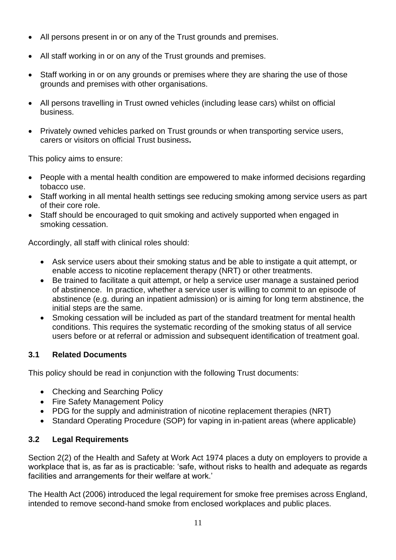- All persons present in or on any of the Trust grounds and premises.
- All staff working in or on any of the Trust grounds and premises.
- Staff working in or on any grounds or premises where they are sharing the use of those grounds and premises with other organisations.
- All persons travelling in Trust owned vehicles (including lease cars) whilst on official business.
- Privately owned vehicles parked on Trust grounds or when transporting service users, carers or visitors on official Trust business**.**

This policy aims to ensure:

- People with a mental health condition are empowered to make informed decisions regarding tobacco use.
- Staff working in all mental health settings see reducing smoking among service users as part of their core role.
- Staff should be encouraged to quit smoking and actively supported when engaged in smoking cessation.

Accordingly, all staff with clinical roles should:

- Ask service users about their smoking status and be able to instigate a quit attempt, or enable access to nicotine replacement therapy (NRT) or other treatments.
- Be trained to facilitate a quit attempt, or help a service user manage a sustained period of abstinence. In practice, whether a service user is willing to commit to an episode of abstinence (e.g. during an inpatient admission) or is aiming for long term abstinence, the initial steps are the same.
- Smoking cessation will be included as part of the standard treatment for mental health conditions. This requires the systematic recording of the smoking status of all service users before or at referral or admission and subsequent identification of treatment goal.

#### **3.1 Related Documents**

This policy should be read in conjunction with the following Trust documents:

- Checking and Searching Policy
- Fire Safety Management Policy
- PDG for the supply and administration of nicotine replacement therapies (NRT)
- Standard Operating Procedure (SOP) for vaping in in-patient areas (where applicable)

#### **3.2 Legal Requirements**

Section 2(2) of the Health and Safety at Work Act 1974 places a duty on employers to provide a workplace that is, as far as is practicable: 'safe, without risks to health and adequate as regards facilities and arrangements for their welfare at work.'

The Health Act (2006) introduced the legal requirement for smoke free premises across England, intended to remove second-hand smoke from enclosed workplaces and public places.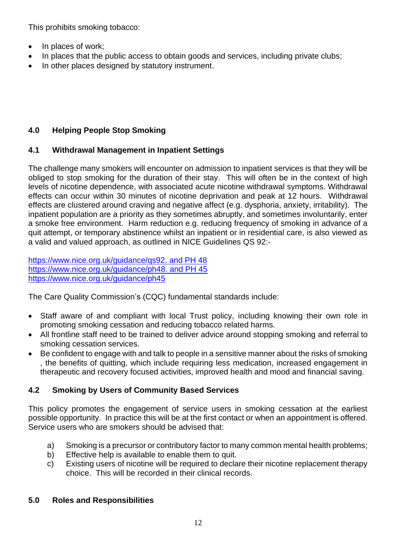This prohibits smoking tobacco:

- In places of work:
- In places that the public access to obtain goods and services, including private clubs;
- In other places designed by statutory instrument.

#### **4.0 Helping People Stop Smoking**

#### **4.1 Withdrawal Management in Inpatient Settings**

The challenge many smokers will encounter on admission to inpatient services is that they will be obliged to stop smoking for the duration of their stay. This will often be in the context of high levels of nicotine dependence, with associated acute nicotine withdrawal symptoms. Withdrawal effects can occur within 30 minutes of nicotine deprivation and peak at 12 hours. Withdrawal effects are clustered around craving and negative affect (e.g. dysphoria, anxiety, irritability). The inpatient population are a priority as they sometimes abruptly, and sometimes involuntarily, enter a smoke free environment. Harm reduction e.g. reducing frequency of smoking in advance of a quit attempt, or temporary abstinence whilst an inpatient or in residential care, is also viewed as a valid and valued approach, as outlined in NICE Guidelines QS 92:-

[https://www.nice.org.uk/guidance/qs92. and PH 48](https://www.nice.org.uk/guidance/qs92.%20and%20PH%2048) [https://www.nice.org.uk/guidance/ph48. and PH 45](https://www.nice.org.uk/guidance/ph48.%20and%20PH%2045) <https://www.nice.org.uk/guidance/ph45>

The Care Quality Commission's (CQC) fundamental standards include:

- Staff aware of and compliant with local Trust policy, including knowing their own role in promoting smoking cessation and reducing tobacco related harms.
- All frontline staff need to be trained to deliver advice around stopping smoking and referral to smoking cessation services.
- Be confident to engage with and talk to people in a sensitive manner about the risks of smoking , the benefits of quitting, which include requiring less medication, increased engagement in therapeutic and recovery focused activities, improved health and mood and financial saving.

#### **4.2 Smoking by Users of Community Based Services**

This policy promotes the engagement of service users in smoking cessation at the earliest possible opportunity. In practice this will be at the first contact or when an appointment is offered. Service users who are smokers should be advised that:

- a) Smoking is a precursor or contributory factor to many common mental health problems;
- b) Effective help is available to enable them to quit.
- c) Existing users of nicotine will be required to declare their nicotine replacement therapy choice. This will be recorded in their clinical records.

#### **5.0 Roles and Responsibilities**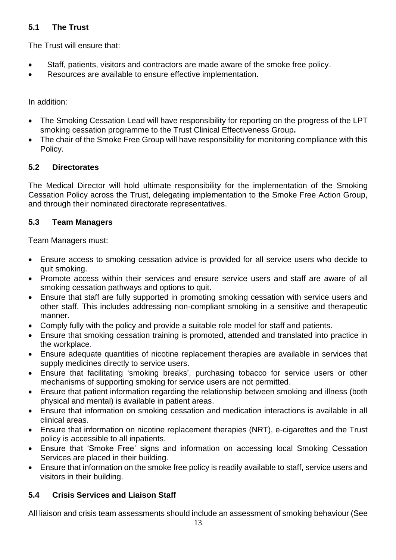#### **5.1 The Trust**

The Trust will ensure that:

- Staff, patients, visitors and contractors are made aware of the smoke free policy.
- Resources are available to ensure effective implementation.

In addition:

- The Smoking Cessation Lead will have responsibility for reporting on the progress of the LPT smoking cessation programme to the Trust Clinical Effectiveness Group**.**
- The chair of the Smoke Free Group will have responsibility for monitoring compliance with this Policy.

#### **5.2 Directorates**

The Medical Director will hold ultimate responsibility for the implementation of the Smoking Cessation Policy across the Trust, delegating implementation to the Smoke Free Action Group, and through their nominated directorate representatives.

#### **5.3 Team Managers**

Team Managers must:

- Ensure access to smoking cessation advice is provided for all service users who decide to quit smoking.
- Promote access within their services and ensure service users and staff are aware of all smoking cessation pathways and options to quit.
- Ensure that staff are fully supported in promoting smoking cessation with service users and other staff. This includes addressing non-compliant smoking in a sensitive and therapeutic manner.
- Comply fully with the policy and provide a suitable role model for staff and patients.
- Ensure that smoking cessation training is promoted, attended and translated into practice in the workplace.
- Ensure adequate quantities of nicotine replacement therapies are available in services that supply medicines directly to service users.
- Ensure that facilitating 'smoking breaks', purchasing tobacco for service users or other mechanisms of supporting smoking for service users are not permitted.
- Ensure that patient information regarding the relationship between smoking and illness (both physical and mental) is available in patient areas.
- Ensure that information on smoking cessation and medication interactions is available in all clinical areas.
- Ensure that information on nicotine replacement therapies (NRT), e-cigarettes and the Trust policy is accessible to all inpatients.
- Ensure that 'Smoke Free' signs and information on accessing local Smoking Cessation Services are placed in their building.
- Ensure that information on the smoke free policy is readily available to staff, service users and visitors in their building.

#### **5.4 Crisis Services and Liaison Staff**

All liaison and crisis team assessments should include an assessment of smoking behaviour (See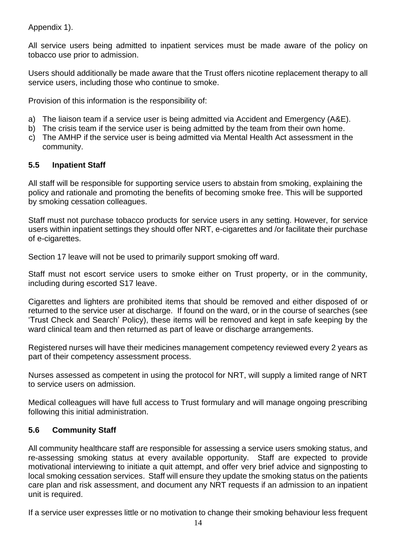Appendix 1).

All service users being admitted to inpatient services must be made aware of the policy on tobacco use prior to admission.

Users should additionally be made aware that the Trust offers nicotine replacement therapy to all service users, including those who continue to smoke.

Provision of this information is the responsibility of:

- a) The liaison team if a service user is being admitted via Accident and Emergency (A&E).
- b) The crisis team if the service user is being admitted by the team from their own home.
- c) The AMHP if the service user is being admitted via Mental Health Act assessment in the community.

#### **5.5 Inpatient Staff**

All staff will be responsible for supporting service users to abstain from smoking, explaining the policy and rationale and promoting the benefits of becoming smoke free. This will be supported by smoking cessation colleagues.

Staff must not purchase tobacco products for service users in any setting. However, for service users within inpatient settings they should offer NRT, e-cigarettes and /or facilitate their purchase of e-cigarettes.

Section 17 leave will not be used to primarily support smoking off ward.

Staff must not escort service users to smoke either on Trust property, or in the community, including during escorted S17 leave.

Cigarettes and lighters are prohibited items that should be removed and either disposed of or returned to the service user at discharge. If found on the ward, or in the course of searches (see 'Trust Check and Search' Policy), these items will be removed and kept in safe keeping by the ward clinical team and then returned as part of leave or discharge arrangements.

Registered nurses will have their medicines management competency reviewed every 2 years as part of their competency assessment process.

Nurses assessed as competent in using the protocol for NRT, will supply a limited range of NRT to service users on admission.

Medical colleagues will have full access to Trust formulary and will manage ongoing prescribing following this initial administration.

#### **5.6 Community Staff**

All community healthcare staff are responsible for assessing a service users smoking status, and re-assessing smoking status at every available opportunity. Staff are expected to provide motivational interviewing to initiate a quit attempt, and offer very brief advice and signposting to local smoking cessation services. Staff will ensure they update the smoking status on the patients care plan and risk assessment, and document any NRT requests if an admission to an inpatient unit is required.

If a service user expresses little or no motivation to change their smoking behaviour less frequent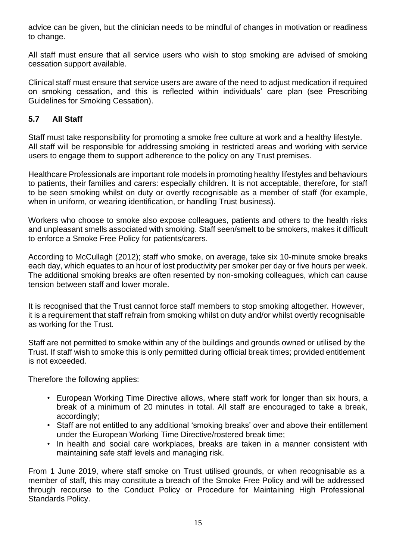advice can be given, but the clinician needs to be mindful of changes in motivation or readiness to change.

All staff must ensure that all service users who wish to stop smoking are advised of smoking cessation support available.

Clinical staff must ensure that service users are aware of the need to adjust medication if required on smoking cessation, and this is reflected within individuals' care plan (see Prescribing Guidelines for Smoking Cessation).

#### **5.7 All Staff**

Staff must take responsibility for promoting a smoke free culture at work and a healthy lifestyle. All staff will be responsible for addressing smoking in restricted areas and working with service users to engage them to support adherence to the policy on any Trust premises.

Healthcare Professionals are important role models in promoting healthy lifestyles and behaviours to patients, their families and carers: especially children. It is not acceptable, therefore, for staff to be seen smoking whilst on duty or overtly recognisable as a member of staff (for example, when in uniform, or wearing identification, or handling Trust business).

Workers who choose to smoke also expose colleagues, patients and others to the health risks and unpleasant smells associated with smoking. Staff seen/smelt to be smokers, makes it difficult to enforce a Smoke Free Policy for patients/carers.

According to McCullagh (2012); staff who smoke, on average, take six 10-minute smoke breaks each day, which equates to an hour of lost productivity per smoker per day or five hours per week. The additional smoking breaks are often resented by non-smoking colleagues, which can cause tension between staff and lower morale.

It is recognised that the Trust cannot force staff members to stop smoking altogether. However, it is a requirement that staff refrain from smoking whilst on duty and/or whilst overtly recognisable as working for the Trust.

Staff are not permitted to smoke within any of the buildings and grounds owned or utilised by the Trust. If staff wish to smoke this is only permitted during official break times; provided entitlement is not exceeded.

Therefore the following applies:

- European Working Time Directive allows, where staff work for longer than six hours, a break of a minimum of 20 minutes in total. All staff are encouraged to take a break, accordingly;
- Staff are not entitled to any additional 'smoking breaks' over and above their entitlement under the European Working Time Directive/rostered break time;
- In health and social care workplaces, breaks are taken in a manner consistent with maintaining safe staff levels and managing risk.

From 1 June 2019, where staff smoke on Trust utilised grounds, or when recognisable as a member of staff, this may constitute a breach of the Smoke Free Policy and will be addressed through recourse to the Conduct Policy or Procedure for Maintaining High Professional Standards Policy.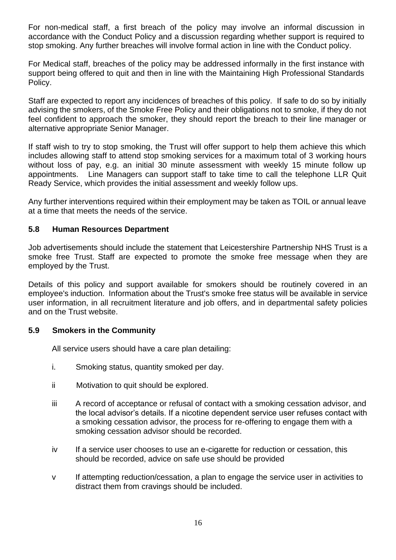For non-medical staff, a first breach of the policy may involve an informal discussion in accordance with the Conduct Policy and a discussion regarding whether support is required to stop smoking. Any further breaches will involve formal action in line with the Conduct policy.

For Medical staff, breaches of the policy may be addressed informally in the first instance with support being offered to quit and then in line with the Maintaining High Professional Standards Policy.

Staff are expected to report any incidences of breaches of this policy. If safe to do so by initially advising the smokers, of the Smoke Free Policy and their obligations not to smoke, if they do not feel confident to approach the smoker, they should report the breach to their line manager or alternative appropriate Senior Manager.

If staff wish to try to stop smoking, the Trust will offer support to help them achieve this which includes allowing staff to attend stop smoking services for a maximum total of 3 working hours without loss of pay, e.g. an initial 30 minute assessment with weekly 15 minute follow up appointments. Line Managers can support staff to take time to call the telephone LLR Quit Ready Service, which provides the initial assessment and weekly follow ups.

Any further interventions required within their employment may be taken as TOIL or annual leave at a time that meets the needs of the service.

#### **5.8 Human Resources Department**

Job advertisements should include the statement that Leicestershire Partnership NHS Trust is a smoke free Trust. Staff are expected to promote the smoke free message when they are employed by the Trust.

Details of this policy and support available for smokers should be routinely covered in an employee's induction. Information about the Trust's smoke free status will be available in service user information, in all recruitment literature and job offers, and in departmental safety policies and on the Trust website.

#### **5.9 Smokers in the Community**

All service users should have a care plan detailing:

- i. Smoking status, quantity smoked per day.
- ii Motivation to quit should be explored.
- iii A record of acceptance or refusal of contact with a smoking cessation advisor, and the local advisor's details. If a nicotine dependent service user refuses contact with a smoking cessation advisor, the process for re-offering to engage them with a smoking cessation advisor should be recorded.
- iv If a service user chooses to use an e-cigarette for reduction or cessation, this should be recorded, advice on safe use should be provided
- v If attempting reduction/cessation, a plan to engage the service user in activities to distract them from cravings should be included.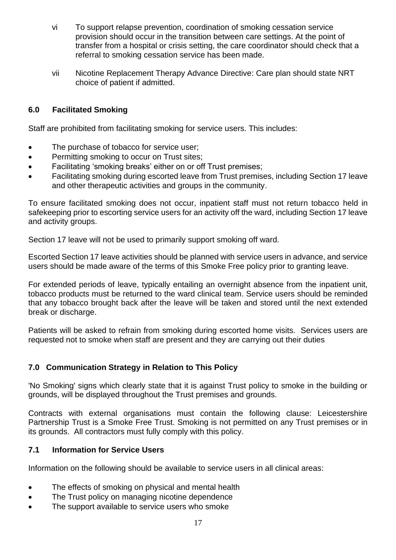- vi To support relapse prevention, coordination of smoking cessation service provision should occur in the transition between care settings. At the point of transfer from a hospital or crisis setting, the care coordinator should check that a referral to smoking cessation service has been made.
- vii Nicotine Replacement Therapy Advance Directive: Care plan should state NRT choice of patient if admitted.

#### **6.0 Facilitated Smoking**

Staff are prohibited from facilitating smoking for service users. This includes:

- The purchase of tobacco for service user;
- Permitting smoking to occur on Trust sites;
- Facilitating 'smoking breaks' either on or off Trust premises;
- Facilitating smoking during escorted leave from Trust premises, including Section 17 leave and other therapeutic activities and groups in the community.

To ensure facilitated smoking does not occur, inpatient staff must not return tobacco held in safekeeping prior to escorting service users for an activity off the ward, including Section 17 leave and activity groups.

Section 17 leave will not be used to primarily support smoking off ward.

Escorted Section 17 leave activities should be planned with service users in advance, and service users should be made aware of the terms of this Smoke Free policy prior to granting leave.

For extended periods of leave, typically entailing an overnight absence from the inpatient unit, tobacco products must be returned to the ward clinical team. Service users should be reminded that any tobacco brought back after the leave will be taken and stored until the next extended break or discharge.

Patients will be asked to refrain from smoking during escorted home visits. Services users are requested not to smoke when staff are present and they are carrying out their duties

#### **7.0 Communication Strategy in Relation to This Policy**

'No Smoking' signs which clearly state that it is against Trust policy to smoke in the building or grounds, will be displayed throughout the Trust premises and grounds.

Contracts with external organisations must contain the following clause: Leicestershire Partnership Trust is a Smoke Free Trust. Smoking is not permitted on any Trust premises or in its grounds. All contractors must fully comply with this policy.

#### **7.1 Information for Service Users**

Information on the following should be available to service users in all clinical areas:

- The effects of smoking on physical and mental health
- The Trust policy on managing nicotine dependence
- The support available to service users who smoke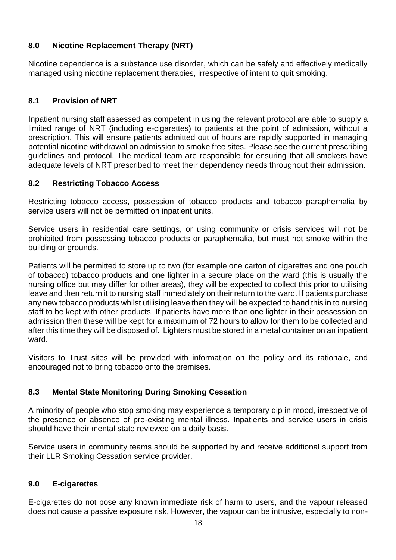#### **8.0 Nicotine Replacement Therapy (NRT)**

Nicotine dependence is a substance use disorder, which can be safely and effectively medically managed using nicotine replacement therapies, irrespective of intent to quit smoking.

#### **8.1 Provision of NRT**

Inpatient nursing staff assessed as competent in using the relevant protocol are able to supply a limited range of NRT (including e-cigarettes) to patients at the point of admission, without a prescription. This will ensure patients admitted out of hours are rapidly supported in managing potential nicotine withdrawal on admission to smoke free sites. Please see the current prescribing guidelines and protocol. The medical team are responsible for ensuring that all smokers have adequate levels of NRT prescribed to meet their dependency needs throughout their admission.

#### **8.2 Restricting Tobacco Access**

Restricting tobacco access, possession of tobacco products and tobacco paraphernalia by service users will not be permitted on inpatient units.

Service users in residential care settings, or using community or crisis services will not be prohibited from possessing tobacco products or paraphernalia, but must not smoke within the building or grounds.

Patients will be permitted to store up to two (for example one carton of cigarettes and one pouch of tobacco) tobacco products and one lighter in a secure place on the ward (this is usually the nursing office but may differ for other areas), they will be expected to collect this prior to utilising leave and then return it to nursing staff immediately on their return to the ward. If patients purchase any new tobacco products whilst utilising leave then they will be expected to hand this in to nursing staff to be kept with other products. If patients have more than one lighter in their possession on admission then these will be kept for a maximum of 72 hours to allow for them to be collected and after this time they will be disposed of. Lighters must be stored in a metal container on an inpatient ward.

Visitors to Trust sites will be provided with information on the policy and its rationale, and encouraged not to bring tobacco onto the premises.

#### **8.3 Mental State Monitoring During Smoking Cessation**

A minority of people who stop smoking may experience a temporary dip in mood, irrespective of the presence or absence of pre-existing mental illness. Inpatients and service users in crisis should have their mental state reviewed on a daily basis.

Service users in community teams should be supported by and receive additional support from their LLR Smoking Cessation service provider.

#### **9.0 E-cigarettes**

E-cigarettes do not pose any known immediate risk of harm to users, and the vapour released does not cause a passive exposure risk, However, the vapour can be intrusive, especially to non-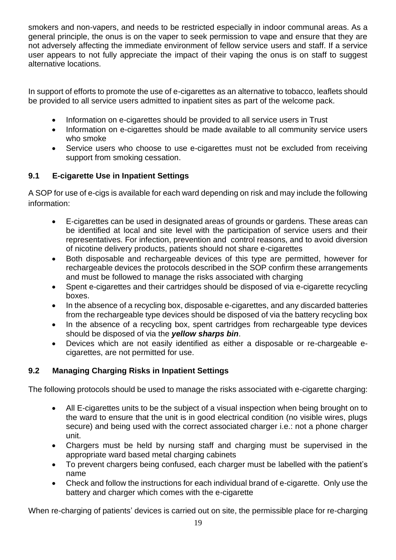smokers and non-vapers, and needs to be restricted especially in indoor communal areas. As a general principle, the onus is on the vaper to seek permission to vape and ensure that they are not adversely affecting the immediate environment of fellow service users and staff. If a service user appears to not fully appreciate the impact of their vaping the onus is on staff to suggest alternative locations.

In support of efforts to promote the use of e-cigarettes as an alternative to tobacco, leaflets should be provided to all service users admitted to inpatient sites as part of the welcome pack.

- Information on e-cigarettes should be provided to all service users in Trust
- Information on e-cigarettes should be made available to all community service users who smoke
- Service users who choose to use e-cigarettes must not be excluded from receiving support from smoking cessation.

#### **9.1 E-cigarette Use in Inpatient Settings**

A SOP for use of e-cigs is available for each ward depending on risk and may include the following information:

- E-cigarettes can be used in designated areas of grounds or gardens. These areas can be identified at local and site level with the participation of service users and their representatives. For infection, prevention and control reasons, and to avoid diversion of nicotine delivery products, patients should not share e-cigarettes
- Both disposable and rechargeable devices of this type are permitted, however for rechargeable devices the protocols described in the SOP confirm these arrangements and must be followed to manage the risks associated with charging
- Spent e-cigarettes and their cartridges should be disposed of via e-cigarette recycling boxes.
- In the absence of a recycling box, disposable e-cigarettes, and any discarded batteries from the rechargeable type devices should be disposed of via the battery recycling box
- In the absence of a recycling box, spent cartridges from rechargeable type devices should be disposed of via the *yellow sharps bin*.
- Devices which are not easily identified as either a disposable or re-chargeable ecigarettes, are not permitted for use.

#### **9.2 Managing Charging Risks in Inpatient Settings**

The following protocols should be used to manage the risks associated with e-cigarette charging:

- All E-cigarettes units to be the subject of a visual inspection when being brought on to the ward to ensure that the unit is in good electrical condition (no visible wires, plugs secure) and being used with the correct associated charger i.e.: not a phone charger unit.
- Chargers must be held by nursing staff and charging must be supervised in the appropriate ward based metal charging cabinets
- To prevent chargers being confused, each charger must be labelled with the patient's name
- Check and follow the instructions for each individual brand of e-cigarette. Only use the battery and charger which comes with the e-cigarette

When re-charging of patients' devices is carried out on site, the permissible place for re-charging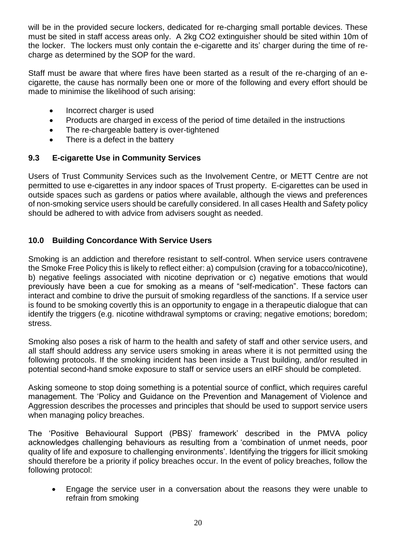will be in the provided secure lockers, dedicated for re-charging small portable devices. These must be sited in staff access areas only. A 2kg CO2 extinguisher should be sited within 10m of the locker. The lockers must only contain the e-cigarette and its' charger during the time of recharge as determined by the SOP for the ward.

Staff must be aware that where fires have been started as a result of the re-charging of an ecigarette, the cause has normally been one or more of the following and every effort should be made to minimise the likelihood of such arising:

- Incorrect charger is used
- Products are charged in excess of the period of time detailed in the instructions
- The re-chargeable battery is over-tightened
- There is a defect in the battery

#### **9.3 E-cigarette Use in Community Services**

Users of Trust Community Services such as the Involvement Centre, or METT Centre are not permitted to use e-cigarettes in any indoor spaces of Trust property. E-cigarettes can be used in outside spaces such as gardens or patios where available, although the views and preferences of non-smoking service users should be carefully considered. In all cases Health and Safety policy should be adhered to with advice from advisers sought as needed.

#### **10.0 Building Concordance With Service Users**

Smoking is an addiction and therefore resistant to self-control. When service users contravene the Smoke Free Policy this is likely to reflect either: a) compulsion (craving for a tobacco/nicotine), b) negative feelings associated with nicotine deprivation or c) negative emotions that would previously have been a cue for smoking as a means of "self-medication". These factors can interact and combine to drive the pursuit of smoking regardless of the sanctions. If a service user is found to be smoking covertly this is an opportunity to engage in a therapeutic dialogue that can identify the triggers (e.g. nicotine withdrawal symptoms or craving; negative emotions; boredom; stress.

Smoking also poses a risk of harm to the health and safety of staff and other service users, and all staff should address any service users smoking in areas where it is not permitted using the following protocols. If the smoking incident has been inside a Trust building, and/or resulted in potential second-hand smoke exposure to staff or service users an eIRF should be completed.

Asking someone to stop doing something is a potential source of conflict, which requires careful management. The 'Policy and Guidance on the Prevention and Management of Violence and Aggression describes the processes and principles that should be used to support service users when managing policy breaches.

The 'Positive Behavioural Support (PBS)' framework' described in the PMVA policy acknowledges challenging behaviours as resulting from a 'combination of unmet needs, poor quality of life and exposure to challenging environments'. Identifying the triggers for illicit smoking should therefore be a priority if policy breaches occur. In the event of policy breaches, follow the following protocol:

• Engage the service user in a conversation about the reasons they were unable to refrain from smoking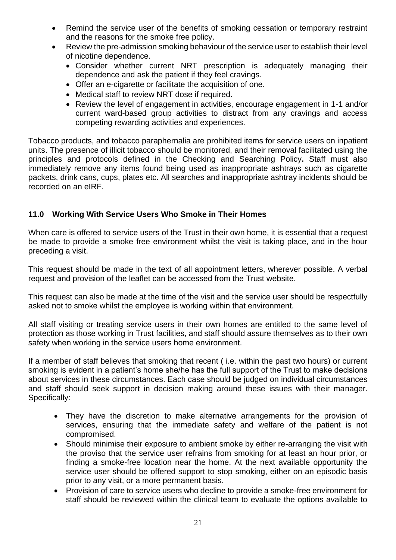- Remind the service user of the benefits of smoking cessation or temporary restraint and the reasons for the smoke free policy.
- Review the pre-admission smoking behaviour of the service user to establish their level of nicotine dependence.
	- Consider whether current NRT prescription is adequately managing their dependence and ask the patient if they feel cravings.
	- Offer an e-cigarette or facilitate the acquisition of one.
	- Medical staff to review NRT dose if required.
	- Review the level of engagement in activities, encourage engagement in 1-1 and/or current ward-based group activities to distract from any cravings and access competing rewarding activities and experiences.

Tobacco products, and tobacco paraphernalia are prohibited items for service users on inpatient units. The presence of illicit tobacco should be monitored, and their removal facilitated using the principles and protocols defined in the Checking and Searching Policy**.** Staff must also immediately remove any items found being used as inappropriate ashtrays such as cigarette packets, drink cans, cups, plates etc. All searches and inappropriate ashtray incidents should be recorded on an eIRF.

#### **11.0 Working With Service Users Who Smoke in Their Homes**

When care is offered to service users of the Trust in their own home, it is essential that a request be made to provide a smoke free environment whilst the visit is taking place, and in the hour preceding a visit.

This request should be made in the text of all appointment letters, wherever possible. A verbal request and provision of the leaflet can be accessed from the Trust website.

This request can also be made at the time of the visit and the service user should be respectfully asked not to smoke whilst the employee is working within that environment.

All staff visiting or treating service users in their own homes are entitled to the same level of protection as those working in Trust facilities, and staff should assure themselves as to their own safety when working in the service users home environment.

If a member of staff believes that smoking that recent ( i.e. within the past two hours) or current smoking is evident in a patient's home she/he has the full support of the Trust to make decisions about services in these circumstances. Each case should be judged on individual circumstances and staff should seek support in decision making around these issues with their manager. Specifically:

- They have the discretion to make alternative arrangements for the provision of services, ensuring that the immediate safety and welfare of the patient is not compromised.
- Should minimise their exposure to ambient smoke by either re-arranging the visit with the proviso that the service user refrains from smoking for at least an hour prior, or finding a smoke-free location near the home. At the next available opportunity the service user should be offered support to stop smoking, either on an episodic basis prior to any visit, or a more permanent basis.
- Provision of care to service users who decline to provide a smoke-free environment for staff should be reviewed within the clinical team to evaluate the options available to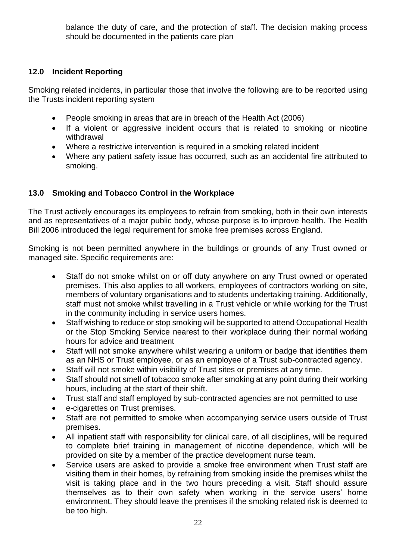balance the duty of care, and the protection of staff. The decision making process should be documented in the patients care plan

#### **12.0 Incident Reporting**

Smoking related incidents, in particular those that involve the following are to be reported using the Trusts incident reporting system

- People smoking in areas that are in breach of the Health Act (2006)
- If a violent or aggressive incident occurs that is related to smoking or nicotine withdrawal
- Where a restrictive intervention is required in a smoking related incident
- Where any patient safety issue has occurred, such as an accidental fire attributed to smoking.

#### **13.0 Smoking and Tobacco Control in the Workplace**

The Trust actively encourages its employees to refrain from smoking, both in their own interests and as representatives of a major public body, whose purpose is to improve health. The Health Bill 2006 introduced the legal requirement for smoke free premises across England.

Smoking is not been permitted anywhere in the buildings or grounds of any Trust owned or managed site. Specific requirements are:

- Staff do not smoke whilst on or off duty anywhere on any Trust owned or operated premises. This also applies to all workers, employees of contractors working on site, members of voluntary organisations and to students undertaking training. Additionally, staff must not smoke whilst travelling in a Trust vehicle or while working for the Trust in the community including in service users homes.
- Staff wishing to reduce or stop smoking will be supported to attend Occupational Health or the Stop Smoking Service nearest to their workplace during their normal working hours for advice and treatment
- Staff will not smoke anywhere whilst wearing a uniform or badge that identifies them as an NHS or Trust employee, or as an employee of a Trust sub-contracted agency.
- Staff will not smoke within visibility of Trust sites or premises at any time.
- Staff should not smell of tobacco smoke after smoking at any point during their working hours, including at the start of their shift.
- Trust staff and staff employed by sub-contracted agencies are not permitted to use
- e-cigarettes on Trust premises.
- Staff are not permitted to smoke when accompanying service users outside of Trust premises.
- All inpatient staff with responsibility for clinical care, of all disciplines, will be required to complete brief training in management of nicotine dependence, which will be provided on site by a member of the practice development nurse team.
- Service users are asked to provide a smoke free environment when Trust staff are visiting them in their homes, by refraining from smoking inside the premises whilst the visit is taking place and in the two hours preceding a visit. Staff should assure themselves as to their own safety when working in the service users' home environment. They should leave the premises if the smoking related risk is deemed to be too high.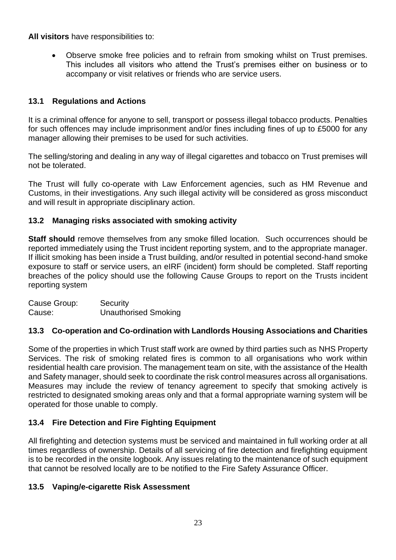**All visitors** have responsibilities to:

• Observe smoke free policies and to refrain from smoking whilst on Trust premises. This includes all visitors who attend the Trust's premises either on business or to accompany or visit relatives or friends who are service users.

#### **13.1 Regulations and Actions**

It is a criminal offence for anyone to sell, transport or possess illegal tobacco products. Penalties for such offences may include imprisonment and/or fines including fines of up to £5000 for any manager allowing their premises to be used for such activities.

The selling/storing and dealing in any way of illegal cigarettes and tobacco on Trust premises will not be tolerated.

The Trust will fully co-operate with Law Enforcement agencies, such as HM Revenue and Customs, in their investigations. Any such illegal activity will be considered as gross misconduct and will result in appropriate disciplinary action.

#### **13.2 Managing risks associated with smoking activity**

**Staff should** remove themselves from any smoke filled location. Such occurrences should be reported immediately using the Trust incident reporting system, and to the appropriate manager. If illicit smoking has been inside a Trust building, and/or resulted in potential second-hand smoke exposure to staff or service users, an eIRF (incident) form should be completed. Staff reporting breaches of the policy should use the following Cause Groups to report on the Trusts incident reporting system

| Cause Group: | Security                    |
|--------------|-----------------------------|
| Cause:       | <b>Unauthorised Smoking</b> |

#### **13.3 Co-operation and Co-ordination with Landlords Housing Associations and Charities**

Some of the properties in which Trust staff work are owned by third parties such as NHS Property Services. The risk of smoking related fires is common to all organisations who work within residential health care provision. The management team on site, with the assistance of the Health and Safety manager, should seek to coordinate the risk control measures across all organisations. Measures may include the review of tenancy agreement to specify that smoking actively is restricted to designated smoking areas only and that a formal appropriate warning system will be operated for those unable to comply.

#### **13.4 Fire Detection and Fire Fighting Equipment**

All firefighting and detection systems must be serviced and maintained in full working order at all times regardless of ownership. Details of all servicing of fire detection and firefighting equipment is to be recorded in the onsite logbook. Any issues relating to the maintenance of such equipment that cannot be resolved locally are to be notified to the Fire Safety Assurance Officer.

#### **13.5 Vaping/e-cigarette Risk Assessment**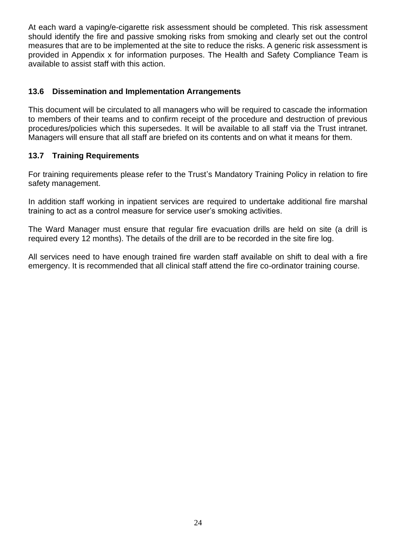At each ward a vaping/e-cigarette risk assessment should be completed. This risk assessment should identify the fire and passive smoking risks from smoking and clearly set out the control measures that are to be implemented at the site to reduce the risks. A generic risk assessment is provided in Appendix x for information purposes. The Health and Safety Compliance Team is available to assist staff with this action.

#### **13.6 Dissemination and Implementation Arrangements**

This document will be circulated to all managers who will be required to cascade the information to members of their teams and to confirm receipt of the procedure and destruction of previous procedures/policies which this supersedes. It will be available to all staff via the Trust intranet. Managers will ensure that all staff are briefed on its contents and on what it means for them.

#### **13.7 Training Requirements**

For training requirements please refer to the Trust's Mandatory Training Policy in relation to fire safety management.

In addition staff working in inpatient services are required to undertake additional fire marshal training to act as a control measure for service user's smoking activities.

The Ward Manager must ensure that regular fire evacuation drills are held on site (a drill is required every 12 months). The details of the drill are to be recorded in the site fire log.

All services need to have enough trained fire warden staff available on shift to deal with a fire emergency. It is recommended that all clinical staff attend the fire co-ordinator training course.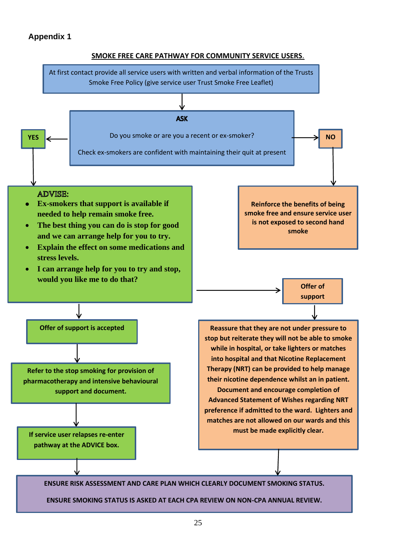#### **Appendix 1**



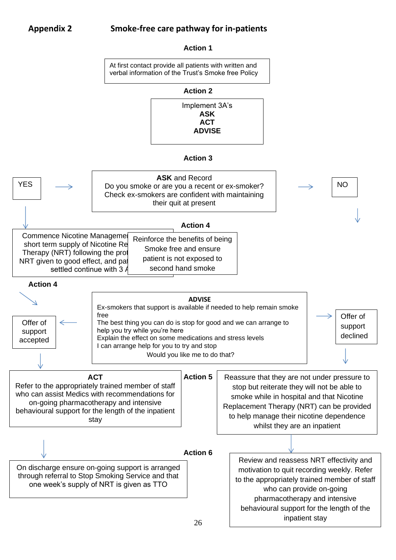#### **Appendix 2 Smoke-free care pathway for in-patients**

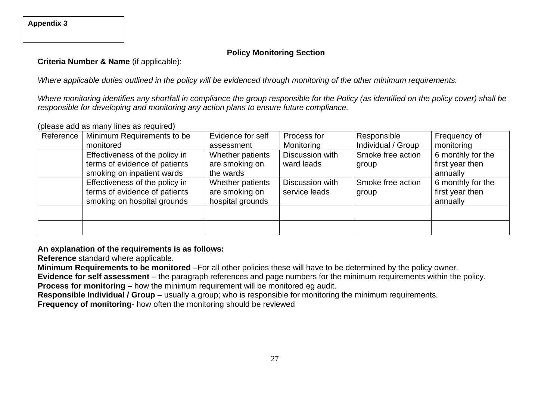**Appendix 3**

#### **Policy Monitoring Section**

**Criteria Number & Name** (if applicable):

*Where applicable duties outlined in the policy will be evidenced through monitoring of the other minimum requirements.*

*Where monitoring identifies any shortfall in compliance the group responsible for the Policy (as identified on the policy cover) shall be responsible for developing and monitoring any action plans to ensure future compliance.*

| Reference | Minimum Requirements to be     | Evidence for self | Process for     | Responsible        | Frequency of      |
|-----------|--------------------------------|-------------------|-----------------|--------------------|-------------------|
|           | monitored                      | assessment        | Monitoring      | Individual / Group | monitoring        |
|           | Effectiveness of the policy in | Whether patients  | Discussion with | Smoke free action  | 6 monthly for the |
|           | terms of evidence of patients  | are smoking on    | ward leads      | group              | first year then   |
|           | smoking on inpatient wards     | the wards         |                 |                    | annually          |
|           | Effectiveness of the policy in | Whether patients  | Discussion with | Smoke free action  | 6 monthly for the |
|           | terms of evidence of patients  | are smoking on    | service leads   | group              | first year then   |
|           | smoking on hospital grounds    | hospital grounds  |                 |                    | annually          |
|           |                                |                   |                 |                    |                   |
|           |                                |                   |                 |                    |                   |
|           |                                |                   |                 |                    |                   |

(please add as many lines as required)

**An explanation of the requirements is as follows:**

**Reference** standard where applicable.

**Minimum Requirements to be monitored** –For all other policies these will have to be determined by the policy owner.

**Evidence for self assessment** – the paragraph references and page numbers for the minimum requirements within the policy.

**Process for monitoring** – how the minimum requirement will be monitored eg audit.

**Responsible Individual / Group** – usually a group; who is responsible for monitoring the minimum requirements.

**Frequency of monitoring**- how often the monitoring should be reviewed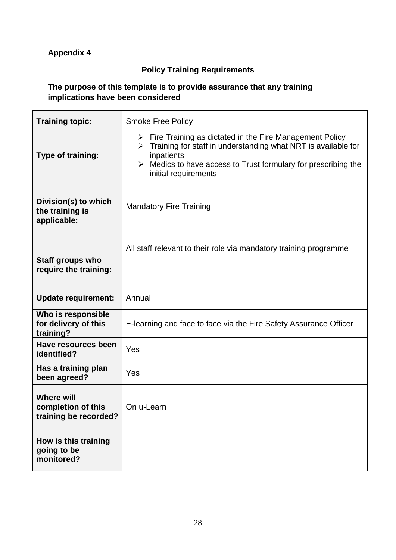### **Appendix 4**

#### **Policy Training Requirements**

#### **The purpose of this template is to provide assurance that any training implications have been considered**

| <b>Training topic:</b>                                           | <b>Smoke Free Policy</b>                                                                                                                                                                                                                             |
|------------------------------------------------------------------|------------------------------------------------------------------------------------------------------------------------------------------------------------------------------------------------------------------------------------------------------|
| Type of training:                                                | $\triangleright$ Fire Training as dictated in the Fire Management Policy<br>Training for staff in understanding what NRT is available for<br>➤<br>inpatients<br>Medics to have access to Trust formulary for prescribing the<br>initial requirements |
| Division(s) to which<br>the training is<br>applicable:           | <b>Mandatory Fire Training</b>                                                                                                                                                                                                                       |
| <b>Staff groups who</b><br>require the training:                 | All staff relevant to their role via mandatory training programme                                                                                                                                                                                    |
| <b>Update requirement:</b>                                       | Annual                                                                                                                                                                                                                                               |
| Who is responsible<br>for delivery of this<br>training?          | E-learning and face to face via the Fire Safety Assurance Officer                                                                                                                                                                                    |
| Have resources been<br>identified?                               | Yes                                                                                                                                                                                                                                                  |
| Has a training plan<br>been agreed?                              | Yes                                                                                                                                                                                                                                                  |
| <b>Where will</b><br>completion of this<br>training be recorded? | On u-Learn                                                                                                                                                                                                                                           |
| How is this training<br>going to be<br>monitored?                |                                                                                                                                                                                                                                                      |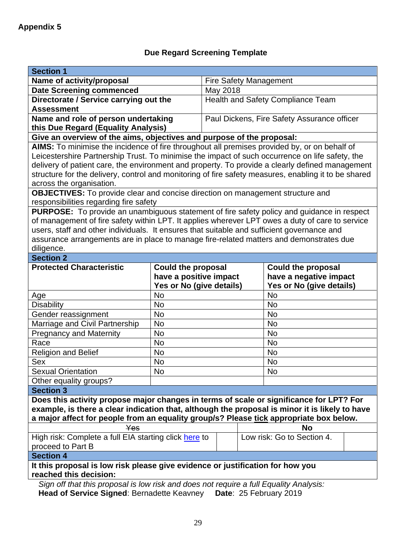# **Due Regard Screening Template**

| <b>Section 1</b>                                                                                     |                                       |                                             |                                                     |  |  |  |  |  |
|------------------------------------------------------------------------------------------------------|---------------------------------------|---------------------------------------------|-----------------------------------------------------|--|--|--|--|--|
| Name of activity/proposal                                                                            |                                       | <b>Fire Safety Management</b>               |                                                     |  |  |  |  |  |
| <b>Date Screening commenced</b>                                                                      |                                       | May 2018                                    |                                                     |  |  |  |  |  |
| Directorate / Service carrying out the<br><b>Assessment</b>                                          |                                       | Health and Safety Compliance Team           |                                                     |  |  |  |  |  |
| Name and role of person undertaking                                                                  |                                       | Paul Dickens, Fire Safety Assurance officer |                                                     |  |  |  |  |  |
| this Due Regard (Equality Analysis)                                                                  |                                       |                                             |                                                     |  |  |  |  |  |
| Give an overview of the aims, objectives and purpose of the proposal:                                |                                       |                                             |                                                     |  |  |  |  |  |
| AIMS: To minimise the incidence of fire throughout all premises provided by, or on behalf of         |                                       |                                             |                                                     |  |  |  |  |  |
| Leicestershire Partnership Trust. To minimise the impact of such occurrence on life safety, the      |                                       |                                             |                                                     |  |  |  |  |  |
| delivery of patient care, the environment and property. To provide a clearly defined management      |                                       |                                             |                                                     |  |  |  |  |  |
| structure for the delivery, control and monitoring of fire safety measures, enabling it to be shared |                                       |                                             |                                                     |  |  |  |  |  |
| across the organisation.                                                                             |                                       |                                             |                                                     |  |  |  |  |  |
| <b>OBJECTIVES:</b> To provide clear and concise direction on management structure and                |                                       |                                             |                                                     |  |  |  |  |  |
| responsibilities regarding fire safety                                                               |                                       |                                             |                                                     |  |  |  |  |  |
| PURPOSE: To provide an unambiguous statement of fire safety policy and guidance in respect           |                                       |                                             |                                                     |  |  |  |  |  |
| of management of fire safety within LPT. It applies wherever LPT owes a duty of care to service      |                                       |                                             |                                                     |  |  |  |  |  |
| users, staff and other individuals. It ensures that suitable and sufficient governance and           |                                       |                                             |                                                     |  |  |  |  |  |
| assurance arrangements are in place to manage fire-related matters and demonstrates due              |                                       |                                             |                                                     |  |  |  |  |  |
| diligence.                                                                                           |                                       |                                             |                                                     |  |  |  |  |  |
| <b>Section 2</b>                                                                                     |                                       |                                             |                                                     |  |  |  |  |  |
| <b>Protected Characteristic</b>                                                                      | <b>Could the proposal</b>             |                                             | <b>Could the proposal</b><br>have a negative impact |  |  |  |  |  |
|                                                                                                      | have a positive impact                |                                             |                                                     |  |  |  |  |  |
|                                                                                                      | Yes or No (give details)<br><b>No</b> |                                             | Yes or No (give details)<br><b>No</b>               |  |  |  |  |  |
| Age                                                                                                  |                                       |                                             |                                                     |  |  |  |  |  |
| <b>Disability</b>                                                                                    | <b>No</b>                             |                                             | <b>No</b>                                           |  |  |  |  |  |
| Gender reassignment                                                                                  | No                                    |                                             | No                                                  |  |  |  |  |  |
| Marriage and Civil Partnership                                                                       | <b>No</b>                             |                                             | <b>No</b>                                           |  |  |  |  |  |
| <b>Pregnancy and Maternity</b>                                                                       | <b>No</b>                             |                                             | <b>No</b>                                           |  |  |  |  |  |
| Race                                                                                                 | <b>No</b>                             |                                             | No                                                  |  |  |  |  |  |
| <b>Religion and Belief</b>                                                                           | <b>No</b>                             |                                             | No                                                  |  |  |  |  |  |
| Sex                                                                                                  | No                                    |                                             | No                                                  |  |  |  |  |  |
| <b>Sexual Orientation</b>                                                                            | No                                    |                                             | No                                                  |  |  |  |  |  |
| Other equality groups?                                                                               |                                       |                                             |                                                     |  |  |  |  |  |
| <b>Section 3</b>                                                                                     |                                       |                                             |                                                     |  |  |  |  |  |
| Does this activity propose major changes in terms of scale or significance for LPT? For              |                                       |                                             |                                                     |  |  |  |  |  |
| example, is there a clear indication that, although the proposal is minor it is likely to have       |                                       |                                             |                                                     |  |  |  |  |  |
| a major affect for people from an equality group/s? Please tick appropriate box below.               |                                       |                                             |                                                     |  |  |  |  |  |
| Yes<br>No<br>High risk: Complete a full EIA starting click here to<br>Low risk: Go to Section 4.     |                                       |                                             |                                                     |  |  |  |  |  |
|                                                                                                      |                                       |                                             |                                                     |  |  |  |  |  |
| proceed to Part B<br><b>Section 4</b>                                                                |                                       |                                             |                                                     |  |  |  |  |  |
| It this proposal is low risk please give evidence or justification for how you                       |                                       |                                             |                                                     |  |  |  |  |  |
| reached this decision:                                                                               |                                       |                                             |                                                     |  |  |  |  |  |
| Sign off that this proposal is low risk and does not require a full Equality Analysis:               |                                       |                                             |                                                     |  |  |  |  |  |

**Head of Service Signed**: Bernadette Keavney **Date**: 25 February 2019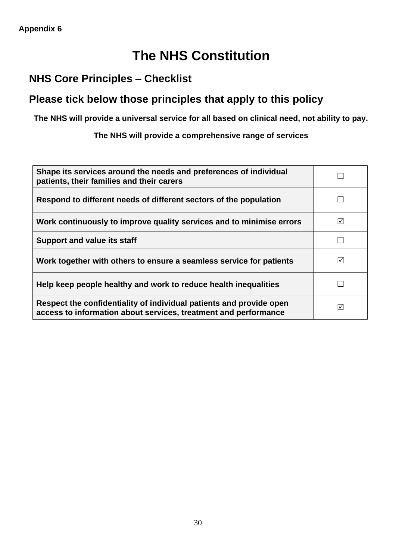# **The NHS Constitution**

# **NHS Core Principles – Checklist**

# **Please tick below those principles that apply to this policy**

**The NHS will provide a universal service for all based on clinical need, not ability to pay.** 

**The NHS will provide a comprehensive range of services**

| Shape its services around the needs and preferences of individual<br>patients, their families and their carers                         |                 |
|----------------------------------------------------------------------------------------------------------------------------------------|-----------------|
| Respond to different needs of different sectors of the population                                                                      |                 |
| Work continuously to improve quality services and to minimise errors                                                                   | $\triangledown$ |
| <b>Support and value its staff</b>                                                                                                     |                 |
| Work together with others to ensure a seamless service for patients                                                                    | ☑               |
| Help keep people healthy and work to reduce health inequalities                                                                        |                 |
| Respect the confidentiality of individual patients and provide open<br>access to information about services, treatment and performance | ⊠               |